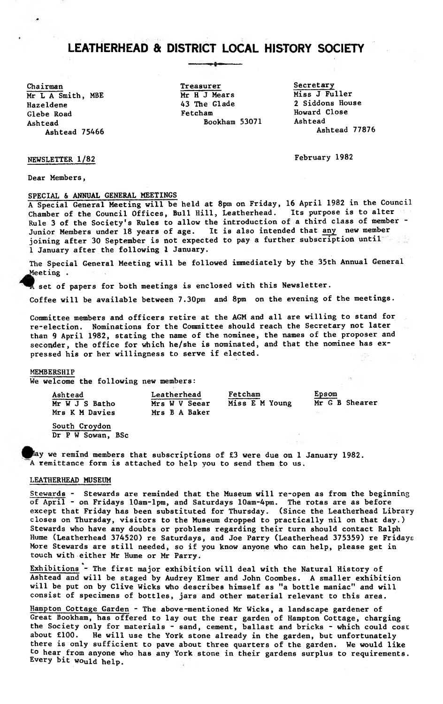---- --------

Chairman<br>
Treasurer Secretary<br>
Mr I. A Smith MRE Mr H J Mears Miss J Fuller Mr L A Smith, MBE Mr H J Mears<br>
Hazeldene 43 The Glade Glebe Road Fetcham Fetcham Howard Close<br>Ashtead Bookham 53071 Ashtead Ashtead **Bookham 53071** Ashtead **Ashtead** Bookham 53071 Ashtead 77876 Ashtead 75466

43 The Glade 2 Siddons House<br>Fetcham 2 Howard Close

NEWSLETTER 1/82 February 1982

Dear Members,

SPECIAL & ANNUAL GENERAL MEETINGS A Special General Meeting will be held at 8pm on Friday, 16 April 1982 in the Council Chamber of the Council Offices, Bull Hill, Leatherhead. Its purpose is to alter Rule 3 of the Society's Rules to allow the introduction of a third class of member - Junior Members under 18 years of age. It is also intended that any new member joining after 30 September is not expected to pay a further subscription until 1 January after the following 1 January.

The Special General Meeting will be followed immediately by the 35th Annual General Meeting.

set of papers for both meetings is enclosed with this Newsletter.

Coffee will be available between 7.30pm and 8pm on the evening of the meetings.

Committee members and officers retire at the AGM and all are willing to stand for re-election. Nominations for the Committee should reach the Secretary not later than 9 April 1982, stating the name of the nominee, the names of the proposer and seconder, the office for which he/she is nominated, and that the nominee has expressed his or her willingness to serve if elected.

#### MEMBERSHIP

We welcome the following new members:

| Ashtead                            | Leatherhead                    | Fetcham        | Epsom          |
|------------------------------------|--------------------------------|----------------|----------------|
| Mr W J S Batho<br>Mrs K M Davies   | Mrs W V Seear<br>Mrs B A Baker | Miss E M Young | Mr G B Shearer |
| South Croydon<br>Dr P W Sowan, BSc |                                |                |                |

ay we remind members that subscriptions of £3 were due on 1 January 1982. A remittance form is attached to help you to send them to us.

# LEATHERHEAD MUSEUM

Stewards - Stewards are reminded that the Museum will re-open as from the beginning of April - on Fridays lOam-lpm, and Saturdays 10am-4pm. The rotas are as before except that Friday has been substituted for Thursday. (Since the Leatherhead Library closes on Thursday, visitors to the Museum dropped to practically nil on that day.) Stewards who have any doubts or problems regarding their turn should contact Ralph Hume (Leatherhead 374520) re Saturdays, and Joe Parry (Leatherhead 375359) re Fridays More Stewards are still needed, so if you know anyone who can help, please get in touch with either Mr Hume or Mr Parry;

Exhibitions - The first major exhibition will deal with the Natural History of Ashtead and will be staged by Audrey Elmer and John Coombes. A smaller exhibition will be put on by Clive Wicks who describes himself as "a bottle maniac" and will consist of specimens of bottles, jars and other material relevant to this area.

Hampton Cottage Garden - The above-mentioned Mr Wicks, a landscape gardener of Great Bookham, has offered to lay out the rear garden of Hampton Cottage, charging the Society only for materials - sand, cement, ballast and bricks - which could cost about £100. He will use the York stone already in the garden, but unfortunately there is only sufficient to pave about three quarters of the garden. We would like to hear from anyone who has any York stone in their gardens surplus to requirements. Every bit would help.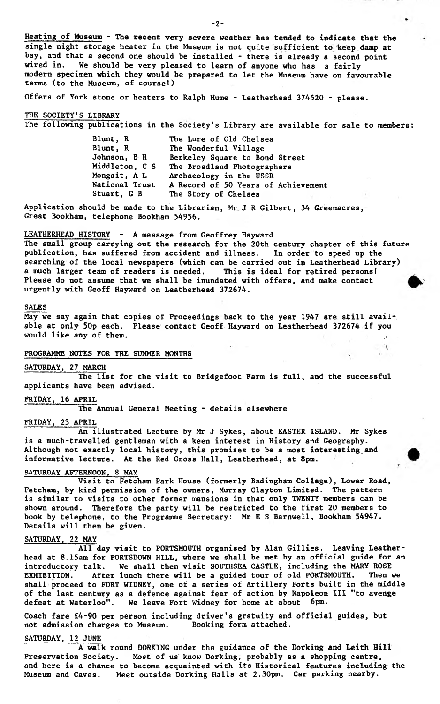**Heating of Museum - The recent very severe weather has tended to indicate that the single night storage heater in the Museum is not quite sufficient to keep damp at bay, and that a second one should be installed - there is already a second point wired in. We should be very pleased to learn of anyone who has a fairly modern specimen which they would be prepared to let the Museum have on favourable terms (to the Museum, of course!)**

**Offers of York stone or heaters to Ralph Hume - Leatherhead 374520 - please.**

# **THE SOCIETY'S LIBRARY**

**The following publications in the Society's Library are available for sale to members:**

| The Lure of Old Chelsea             |
|-------------------------------------|
| The Wonderful Village               |
| Berkeley Square to Bond Street      |
| The Broadland Photographers         |
| Archaeology in the USSR             |
| A Record of 50 Years of Achievement |
| The Story of Chelsea                |
|                                     |

**Application should be made to the Librarian, Mr J R Gilbert, 34 Greenacres, Great Bookham, telephone Bookham 54956.**

**LEATHERHEAD HISTORY - A message from Geoffrey Hayward**

**The small group carrying out the research for the 20th century chapter of this future publication, has suffered from accident and illness. In order to speed up the searching of the local newspapers (which can be carried out in Leatherhead Library) a much larger team of readers is needed. This is ideal for retired persons! Please do not assume that we shall be inundated with offers, and make contact urgently with Geoff Hayward on Leatherhead 372674.**

#### **SALES**

**May we say again that copies of Proceedings back to the year 1947 are still available at only 50p each. Please contact Geoff Hayward on Leatherhead 372674 if you would like any of them.**  $\Box$ 

 $\mathcal{N}$ 

# **PROGRAMME NOTES FOR THE SUMMER MONTHS**

**SATURDAY, 27 MARCH The list for the visit to Bridgefoot Farm is full, and the successful applicants have been advised.**

**FRIDAY, 16 APRIL**

**The Annual General Meeting - details elsewhere**

# **FRIDAY, 23 APRIL**

**An illustrated Lecture by Mr J Sykes, about EASTER ISLAND. Mr Sykes is a much-travelled gentleman with a keen interest in History and Geography. Although not exactly local history, this promises to be a most interesting.and informative lecture. At the Red Cross Hall, Leatherhead, at 8pm.**

**SATURDAY AFTERNOON, 8 MAY**

**Visit to Fetcham Park House (formerly Badingham College), Lower Road, Fetcham, by kind permission of the owners, Murray Clayton Limited. The pattern is similar to visits to other former mansions in that only TWENTY members can be shown around. Therefore the party will be restricted to the first 20 members to book by telephone, to the Programme Secretary: Mr E S Barnwell, Bookham 54947. Details will then be given.**

#### **SATURDAY, 22 MAY**

**All day visit to PORTSMOUTH organised by Alan Gillies. Leaving Leatherhead at 8.15am for PORTSDOWN HILL, where we shall be met by an official guide for an introductory talk. We shall then visit SOUTHSEA CASTLE, including the MARY ROSE EXHIBITION. After lunch there will be a guided tour of old PORTSMOUTH. Then we shall proceed to FORT WIDNEY, one of a series of Artillery Forts built in the middle of the last century as a defence against fear of action by Napoleon III "to avenge defeat at Waterloo". We leave Fort Widney for home at about 6pm.**

**Coach fare £4-90 per person including driver's gratuity and official guides, but** not admission charges to Museum.

# **SATURDAY, 12 JUNE**

**A walk round DORKING under the guidance of the Dorking and Leith Hill Preservation Society. Most of us know Dorking, probably as a shopping centre, and here is a chance to become acquainted with its Historical features including the Museum and Caves. Meet outside Dorking Halls at 2.30pm. Car parking nearby.**

 $-2 -$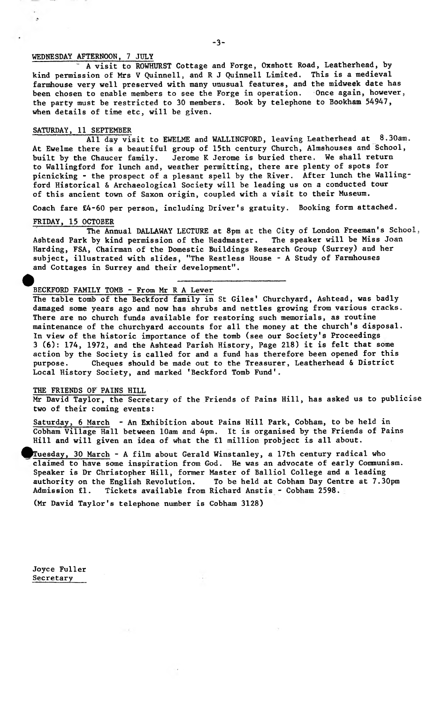# WEDNESDAY AFTERNOON, 7 JULY

 $\cdot$ 

A visit to ROWHURST Cottage and Forge, Oxshott Road, Leatherhead, by kind permission of Mrs V Quinnell, and R J Quinnell Limited. This is a medieval farmhouse very well preserved with many unusual features, and the midweek date has been chosen to enable members to see the Forge in operation. Once again, however, the party must be restricted to 30 members. Book by telephone to Bookham 54947, when details of time etc, will be given.

# SATURDAY, 11 SEPTEMBER

All day visit to EWELME and WALLINGFORD, leaving Leatherhead at 8.30am. At Ewelme there is a beautiful group of 15th century Church, Almshouses and School, built by the Chaucer family. Jerome K Jerome is buried there. We shall return to Wallingford for lunch and, weather permitting, there are plenty of spots for picnicking - the prospect of a plesant spell by the River. After lunch the Wallingford Historical & Archaeological Society will be leading us on a conducted tour of this ancient town of Saxon origin, coupled with a visit to their Museum.

Coach fare £4-60 per person, including Driver's gratuity. Booking form attached.

# FRIDAY, 15 OCTOBER

The Annual DALLAWAY LECTURE at 8pm at the City of London Freeman's School,<br>by kind permission of the Headmaster. The speaker will be Miss Joan Ashtead Park by kind permission of the Headmaster. Harding, FSA, Chairman of the Domestic Buildings Research Group (Surrey) and her subject, illustrated with slides, "The Restless House - A Study of Farmhouses and Cottages in Surrey and their development".

# BECKFORD FAMILY TOMB - From Mr R A Lever

The table tomb of the Beckford family in St Giles' Churchyard, Ashtead, was badly damaged some years ago and now has shrubs and nettles growing from various cracks. There are no church funds available for restoring such memorials, as routine maintenance of the churchyard accounts for all the money at the church's disposal. In view of the historic importance of the tomb (see our Society's Proceedings 3 (6): 174, 1972, and the Ashtead Parish History, Page 218) it is felt that some action by the Society is called for and a fund has therefore been opened for this purpose. Cheques should be made out to the Treasurer, Leatherhead & District Local History Society, and marked 'Beckford Tomb Fund'.

#### THE FRIENDS OF PAINS HILL

Mr David Taylor, the Secretary of the Friends of Pains Hill, has asked us to publicise two of their coming events:

Saturday, 6 March - An Exhibition about Pains Hill Park, Cobham, to be held in Cobham Village Hall between 10am and 4pm. It is organised by the Friends of Pains Hill and will given an idea of what the £1 million probject is all about.

Tuesday, 30 March - A film about Gerald Winstanley, a 17th century radical who claimed to have some inspiration from God. He was an advocate of early Communism. Speaker is Dr Christopher Hill, former Master of Balliol College and a leading authority on the English Revolution. To be held at Cobham Day Centre at 7.30pm Admission £1. Tickets available from Richard Anstis - Cobham 2598.

(Mr David Taylor's telephone number is Cobham 3128)

**Joyce Fuller Secretary**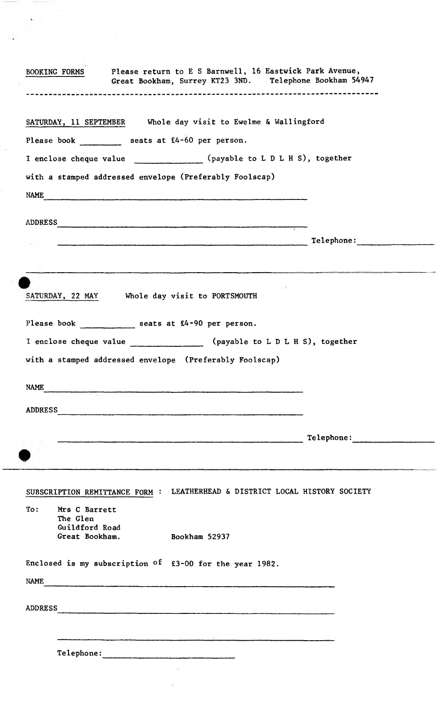|                               | SATURDAY, 11 SEPTEMBER Whole day visit to Ewelme & Wallingford                                                                     |
|-------------------------------|------------------------------------------------------------------------------------------------------------------------------------|
|                               | Please book _______ seats at f4-60 per person.                                                                                     |
|                               | I enclose cheque value ______________(payable to L D L H S), together                                                              |
|                               | with a stamped addressed envelope (Preferably Foolscap)                                                                            |
| NAME                          |                                                                                                                                    |
|                               | ADDRESS                                                                                                                            |
|                               |                                                                                                                                    |
|                               |                                                                                                                                    |
|                               |                                                                                                                                    |
|                               | SATURDAY, 22 MAY Whole day visit to PORTSMOUTH                                                                                     |
|                               |                                                                                                                                    |
|                               | Please book seats at £4-90 per person.                                                                                             |
|                               | I enclose cheque value ________________ (payable to L D L H S), together                                                           |
|                               | with a stamped addressed envelope (Preferably Foolscap)                                                                            |
|                               |                                                                                                                                    |
| <b>NAME</b><br><b>ADDRESS</b> | Telephone:<br>.<br>The characteristic property for the specific property of a complete the statement of the characteristic state o |
|                               |                                                                                                                                    |
|                               | SUBSCRIPTION REMITTANCE FORM : LEATHERHEAD & DISTRICT LOCAL HISTORY SOCIETY                                                        |
| To:                           | Mrs C Barrett                                                                                                                      |
|                               | The Glen<br>Guildford Road                                                                                                         |
|                               | Great Bookham.<br>Bookham 52937                                                                                                    |
|                               | Enclosed is my subscription of $£3-00$ for the year 1982.                                                                          |
| NAME                          |                                                                                                                                    |
|                               |                                                                                                                                    |
| <b>ADDRESS</b>                | .<br>2000 - Paris Maria III amerikan kemudian di bermula pertama kemudian dan bermula pada 1990 - Perangan Kemudian                |

 $\frac{1}{2}$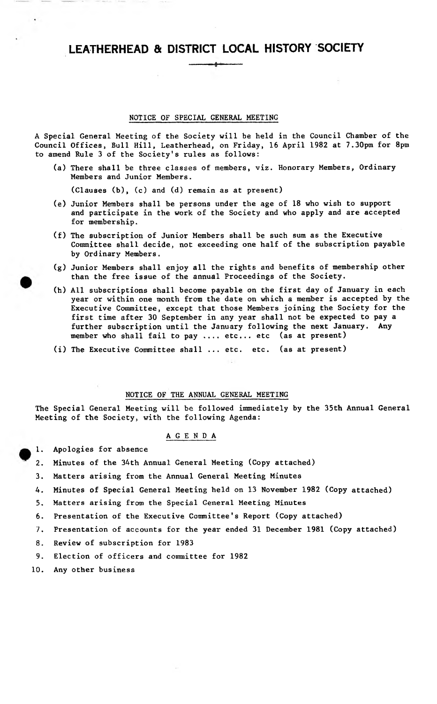LEATHERHEAD & DISTRICT LOCAL HISTORY SOCIETY -------------

# NOTICE OF SPECIAL GENERAL MEETING

A Special General Meeting of the Society will be held in the Council Chamber of the Council Offices, Bull Hill, Leatherhead, on Friday, 16 April 1982 at 7.30pm for 8pm to amend Rule 3 of the Society's rules as follows:

(a) There shall be three classes of members, viz. Honorary Members, Ordinary Members and Junior Members.

(Clauses (b), (c) and (d) remain as at present)

- (e) Junior Members shall be persons under the age of 18 who wish to support and participate in the work of the Society and who apply and are accepted for membership.
- (f) The subscription of Junior Members shall be such sum as the Executive Committee shall decide, not exceeding one half of the subscription payable by Ordinary Members.
- (g) Junior Members shall enjoy all the rights and benefits of membership other than the free issue of the annual Proceedings of the Society.
- (h) All subscriptions shall become payable on the first day of January in each year or within one month from the date on which a member is accepted by the Executive Committee, except that those Members joining the Society for the first time after 30 September in any year shall not be expected to pay a further subscription until the January following the next January. Any member who shall fail to pay .... etc... etc (as at present)
- (i) The Executive Committee shall ... etc. etc. (as at present)

# NOTICE OF THE ANNUAL GENERAL MEETING

The Special General Meeting will be followed immediately by the 35th Annual General Meeting of the Society, with the following Agenda:

# AGENDA

- 1. Apologies for absence
- 2. Minutes of the 34th Annual General Meeting (Copy attached)
- 3. Matters arising from the Annual General Meeting Minutes
- 4. Minutes of Special General Meeting held on 13 November 1982 (Copy attached)
- 5. Matters arising from the Special General Meeting Minutes
- 6. Presentation of the Executive Committee's Report (Copy attached)
- 7. Presentation of accounts for the year ended 31 December 1981 (Copy attached)
- 8. Review of subscription for 1983
- 9. Election of officers and committee for 1982
- 10. Any other business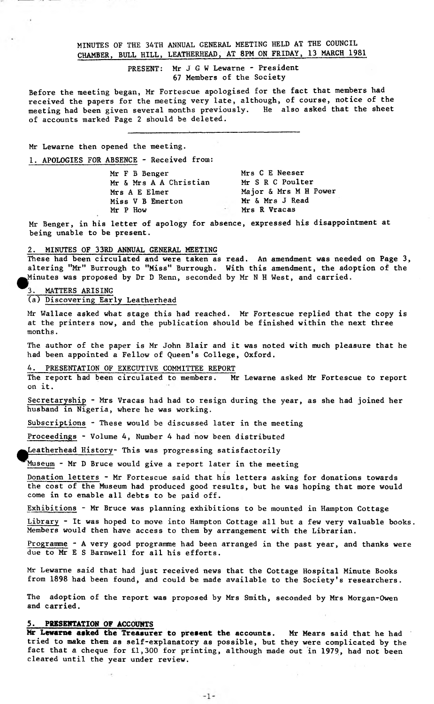MINUTES OF THE 34TH ANNUAL GENERAL MEETING HELD AT THE COUNCIL CHAMBER, BULL HILL, LEATHERHEAD, AT 8PM ON FRIDAY, 13 MARCH 1981

> PRESENT: Mr J G W Lewarne - President 67 Members of the Society

Before the meeting began, Mr Fortescue apologised for the fact that members had received the papers for the meeting very late, although, of course, notice of the meeting had been given several months previously. He also asked that the sheet of accounts marked Page 2 should be deleted.

Mr Lewarne then opened the meeting.

1. APOLOGIES FOR ABSENCE - Received from:

Mr F B Benger Mr & Mrs A A Christian Mrs A E Elmer Miss V B Emerton Mr P How Mrs C E Neeser Mr S R C Poulter Major & Mrs M H Power Mr & Mrs J Read Mrs R Vracas

Mr Benger, in his letter of apology for absence, expressed his disappointment at being unable to be present.

#### 2. MINUTES OF 33RD ANNUAL GENERAL MEETING

These had been circulated and were taken as read. An amendment was needed on Page 3, altering "Mr" Burrough to "Miss" Burrough. With this amendment, the adoption of the ^Minutes was proposed by Dr D Renn, seconded by Mr N H West, and carried.

#### MATTERS ARISING

# (a) Discovering Early Leatherhead

Mr Wallace asked what stage this had reached. Mr Fortescue replied that the copy is at the printers now, and the publication should be finished within the next three months.

The author of the paper is Mr John Blair and it was noted with much pleasure that he had been appointed a Fellow of Queen's College, Oxford.

#### PRESENTATION OF EXECUTIVE COMMITTEE REPORT

The report had been circulated to members. Mr Lewarne asked Mr Fortescue to report on it.

Secretaryship - Mrs Vracas had had to resign during the year, as she had joined her husband in Nigeria, where he was working.

Subscriptions - These would be discussed later in the meeting

Proceedings - Volume 4, Number 4 had now been distributed

Leatherhead History- This was progressing satisfactorily

Museum - Mr D Bruce would give a report later in the meeting

Donation letters - Mr Fortescue said that his letters asking for donations towards the cost of the Museum had produced good results, but he was hoping that more would come in to enable all debts to be paid off.

Exhibitions - Mr Bruce was planning exhibitions to be mounted in Hampton Cottage

Library - It was hoped to move into Hampton Cottage all but a few very valuable books. Members would then have access to them by arrangement with the Librarian.

Programme - A very good programme had been arranged in the past year, and thanks were due to Mr E S Barnwell for all his efforts.

Mr Lewarne said that had just received news that the Cottage Hospital Minute Books from 1898 had been found, and could be made available to the Society's researchers.

The adoption of the report was proposed by Mrs Smith, seconded by Mrs Morgan-Owen and carried.

# **5, PRESENTATION OF ACCOUNTS**

**Mr Lewarne asked the Treasurer to present the accounts.** Mr Hears said that he had tried to **make** them as self-explanatory as possible, but they were complicated by the fact that a cheque for £1,300 for printing, although made out in 1979, had **not** been cleared until the year under review.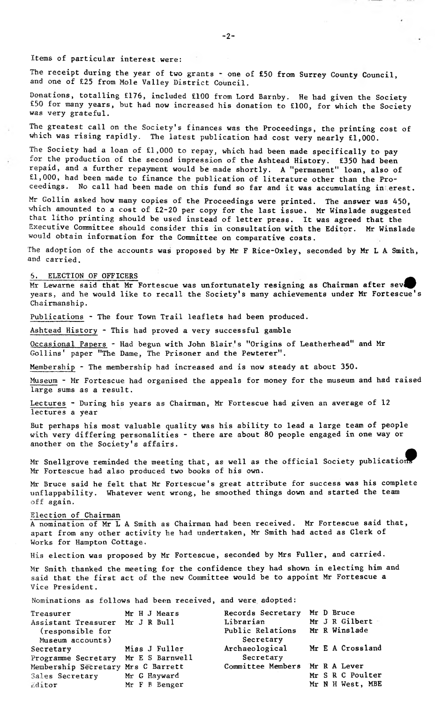Items of particular interest were:

The receipt during the year of two grants - one of £50 from Surrey County Council, and one of £25 from Mole Valley District Council.

Donations, totalling £176, included £100 from Lord Barnby. He had given the Society £50 for many years, but had now increased his donation to £100, for which the Society was very grateful.

The greatest call on the Society's finances was the Proceedings, the printing cost of which was rising rapidly. The latest publication had cost very nearly £1,000.

The Society had a loan of £1,000 to repay, which had been made specifically to pay for the production of the second impression of the Ashtead History. £350 had been repaid, and a further repayment would be made shortly. A "permanent" loan, also of £1,000, had been made to finance the publication of literature other than the Proceedings. No call had been made on this fund so far and it was accumulating in erest.

Mr Gollin asked how many copies of the Proceedings were printed. The answer was 450, which amounted to a cost of £2-20 per copy for the last issue. Mr Winslade suggested that litho printing should be used instead of letter press. It was agreed that the Executive Committee should consider this in consultation with the Editor. Mr Winslade would obtain information for the Committee on comparative costs.

The adoption of the accounts was proposed by Mr F Rice-Oxley, seconded by Mr L A Smith, and carried.

# 5. ELECTION OF OFFICERS ^

Mr Lewarne said that Mr Fortescue was unfortunately resigning as Chairman after seve years, and he would like to recall the Society's many achievements under Mr Fortescue's Chairmanship.

Publications - The four Town Trail leaflets had been produced.

Ashtead History - This had proved a very successful gamble

Occasional Papers - Had begun with John Blair's "Origins of Leatherhead" and Mr Gollins' paper "The Dame, The Prisoner and the Pewterer".

Membership - The membership had increased and is now steady at about 350.

Museum - Mr Fortescue had organised the appeals for money for the museum and had raised large sums as a result.

Lectures - During his years as Chairman, Mr Fortescue had given an average of 12 lectures a year

But perhaps his most valuable quality was his ability to lead a large team of people with very differing personalities - there are about 80 people engaged in one way or another on the Society's affairs.

Mr Snellgrove reminded the meeting that, as well as the official Society publication Mr Fortescue had also produced two books of his own.

Mr Bruce said he felt that Mr Fortescue's great attribute for success was his complete unflappability. Whatever went wrong, he smoothed things down and started the team off again.

# Election of Chairman

A nomination of Mr L A Smith as Chairman had been received. Mr Fortescue said that, apart from any other activity he had undertaken, Mr Smith had acted as Clerk of Works for Hampton Cottage.

His election was proposed by Mr Fortescue, seconded by Mrs Fuller, and carried.

Mr Smith thanked the meeting for the confidence they had shown in electing him and said that the first act of the new Committee would be to appoint Mr Fortescue a Vice President.

Nominations as follows had been received, and were adopted:

| Treasurer                           | Mr H J Mears  | Records Secretary              | Mr D Bruce       |
|-------------------------------------|---------------|--------------------------------|------------------|
| Assistant Treasurer Mr J R Bull     |               | Librarian                      | Mr J R Gilbert   |
| (responsible for                    |               | Public Relations               | Mr R Winslade    |
| Museum accounts)                    |               | Secretary                      |                  |
| Secretary                           | Miss J Fuller | Archaeological                 | Mr E A Crossland |
| Programme Secretary Mr E S Barnwell |               | Secretary                      |                  |
| Membership Secretary Mrs C Barrett  |               | Committee Members Mr R A Lever |                  |
| Sales Secretary                     | Mr G Hayward  |                                | Mr S R C Poulter |
| Editor                              | Mr F B Benger |                                | Mr N H West, MBE |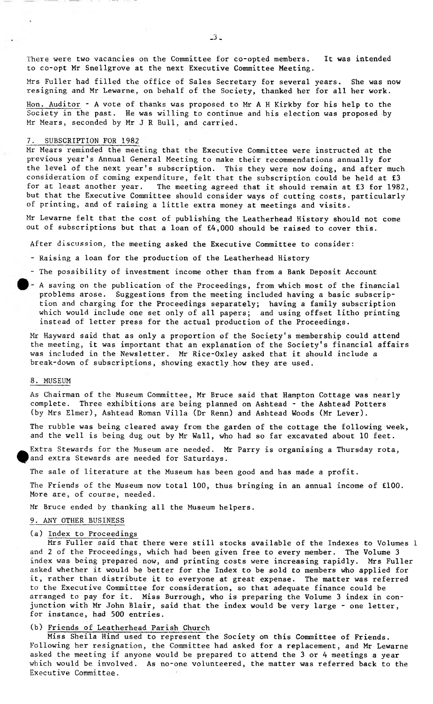There were two vacancies on the Committee for co-opted members. It was intended to co-opt Mr Snellgrove at the next Executive Committee Meeting.

Mrs Fuller had filled the office of Sales Secretary for several years. She was now resigning and Mr Lewarne, on behalf of the Society, thanked her for all her work.

Hon. Auditor - A vote of thanks was proposed to Mr A H Kirkby for his help to the Society in the past. He was willing to continue and his election was proposed by Mr Mears, seconded by Mr J R Bull, and carried.

#### SUBSCRIPTION FOR 1982

Mr Mears reminded the meeting that the Executive Committee were instructed at the previous year's Annual General Meeting to make their recommendations annually for the level of the next year's subscription. This they were now doing, and after much consideration of coming expenditure, felt that the subscription could be held at £3 for at least another year. The meeting agreed that it should remain at £3 for 1982, but that the Executive Committee should consider ways of cutting costs, particularly of printing, and of raising a little extra money at meetings and visits.

Mr Lewarne felt that the cost of publishing the Leatherhead History should not come out of subscriptions but that a loan of £4,000 should be raised to cover this.

After discussion, the meeting asked the Executive Committee to consider:

- Raising a loan for the production of the Leatherhead History
- The possibility of investment income other than from a Bank Deposit Account
- A saving on the publication of the Proceedings, from which most of the financial problems arose. Suggestions from the meeting included having a basic subscription and charging for the Proceedings separately; having a family subscription which would include one set only of all papers; and using offset litho printing instead of letter press for the actual production of the Proceedings.

Mr Hayward said that as only a proportion of the Society's membership could attend the meeting, it was important that an explanation of the Society's financial affairs was included in the Newsletter. Mr Rice-Oxley asked that it should include a break-down of subscriptions, showing exactly how they are used.

#### 8. MUSEUM

As Chairman of the Museum Committee, Mr Bruce said that Hampton Cottage was nearly complete. Three exhibitions are being planned on Ashtead - the Ashtead Potters (by Mrs Elmer), Ashtead Roman Villa (Dr Renn) and Ashtead Woods (Mr Lever).

The rubble was being cleared away from the garden of the cottage the following week, and the well is being dug out by Mr Wall, who had so far excavated about 10 feet.

Extra Stewards for the Museum are needed. Mr Parry is organising a Thursday rota, and extra Stewards are needed for Saturdays.

The sale of literature at the Museum has been good and has made a profit.

The Friends of the Museum now total 100, thus bringing in an annual income of £100. More are, of course, needed.

Mr Bruce ended by thanking all the Museum helpers.

#### 9. ANY OTHER BUSINESS

# (a) Index to Proceedings

Mrs Fuller said that there were still stocks available of the Indexes to Volumes 1 and 2 of the Proceedings, which had been given free to every member. The Volume 3 index was being prepared now, and printing costs were increasing rapidly. Mrs Fuller asked whether it would be better for the Index to be sold to members who applied for it, rather than distribute it to everyone at great expense. The matter was referred to the Executive Committee for consideration, so that adequate finance could be arranged to pay for it. Miss Burrough, who is preparing the Volume 3 index in conjunction with Mr John Blair, said that the index would be very large - one letter, for instance, had 500 entries.

# (b) Friends of Leatherhead Parish Church

Miss Sheila Hind used to represent the Society on this Committee of Friends. Following her resignation, the Committee had asked for a replacement, and Mr Lewarne asked the meeting if anyone would be prepared to attend the 3 or 4 meetings a year which would be involved. As no-one volunteered, the matter was referred back to the Executive Committee.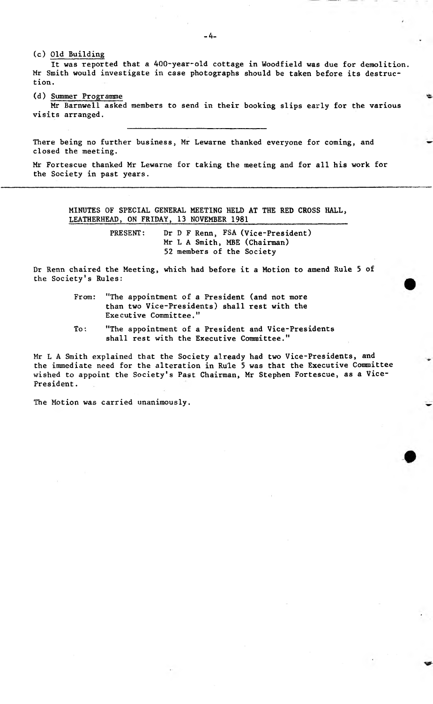(c) Old Building It was reported that a 400-year-old cottage in Woodfield was due for demolition. Mr Smith would investigate in case photographs should be taken before its destruction.

(d) Summer Programme

Mr Barnwell asked members to send in their booking slips early for the various visits arranged.

There being no further business, Mr Lewarne thanked everyone for coming, and closed the meeting.

Mr Fortescue thanked Mr Lewarne for taking the meeting and for all his work for the Society in past years.

MINUTES OF SPECIAL GENERAL MEETING HELD AT THE RED CROSS HALL, LEATHERHEAD, ON FRIDAY, 13 NOVEMBER 1981

> PRESENT: Dr D F Renn, FSA (Vice-President) Mr L A Smith, MBE (Chairman) 52 members of the Society

Dr Renn chaired the Meeting, which had before it a Motion to amend Rule 5 of the Society's Rules:

- From: "The appointment of a President (and not more than two Vice-Presidents) shall rest with the Executive Committee."
- To: "The appointment of a President and Vice-Presidents shall rest with the Executive Committee."

Mr L A Smith explained that the Society already had two Vice-Presidents, and the immediate need for the alteration in Rule 5 was that the Executive Committee wished to appoint the Society's Past Chairman, Mr Stephen Fortescue, as a Vice-President.

The Motion was carried unanimously.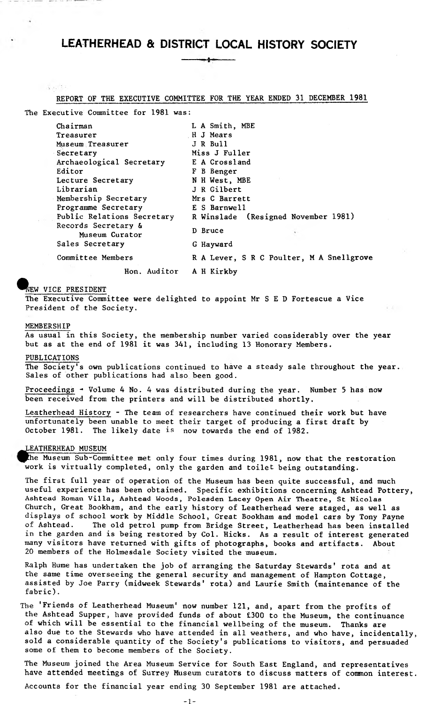#### REPORT OF THE EXECUTIVE COMMITTEE FOR THE YEAR ENDED 31 DECEMBER 1981

The Executive Committee for 1981 was:

| Chairman                              | L A Smith, MBE                           |
|---------------------------------------|------------------------------------------|
| Treasurer                             | H J Mears                                |
| Museum Treasurer                      | J R Bull                                 |
| Secretary                             | Miss J Fuller                            |
| Archaeological Secretary              | E A Crossland                            |
| Editor                                | F B Benger                               |
| Lecture Secretary                     | N H West, MBE                            |
| Librarian                             | J R Gilbert                              |
| Membership Secretary                  | Mrs C Barrett                            |
| Programme Secretary                   | E S Barnwell                             |
| Public Relations Secretary            | R Winslade (Resigned November 1981)      |
| Records Secretary &<br>Museum Curator | D Bruce                                  |
| Sales Secretary                       | G Hayward                                |
| Committee Members                     | R A Lever, S R C Poulter, M A Snellgrove |
| Hon. Auditor                          | A H Kirkby                               |

# NEW VICE PRESIDENT

 $-3.477$ 

The Executive Committee were delighted to appoint Mr S E D Fortescue a Vice President of the Society.

#### MEMBERSHIP

As usual in this Society, the membership number varied considerably over the year but as at the end of 1981 it was 341, including 13 Honorary Members.

#### PUBLICATIONS

The Society's own publications continued to have a steady sale throughout the year. Sales of other publications had also been good.

Proceedings - Volume 4 No. 4 was distributed during the year. Number 5 has now been received from the printers and will be distributed shortly.

Leatherhead History - The team of researchers have continued their work but have unfortunately been unable to meet their target of producing a first draft by October 1981. The likely date is now towards the end of 1982.

#### LEATHERHEAD MUSEUM

The Museum Sub-Committee met only four times during 1981, now that the restoration work is virtually completed, only the garden and toilet being outstanding.

The first full year of operation of the Museum has been quite successful, and much useful experience has been obtained. Specific exhibitions concerning Ashtead Pottery, Ashtead **Roman** Villa, Ashtead Woods, Polesden Lacey Open Air Theatre, St Nicolas Church, Great Bookham, and the early history of Leatherhead were staged, as well as displays of school work by Middle School, Great Bookham and model cars by Tony Payne of Ashtead. The old petrol pump from Bridge Street, Leatherhead has been installed in the garden and is being restored by Col. Hicks. As a result of interest generated many visitors have returned with gifts of photographs, books and artifacts. About 20 members of the Holmesdale Society visited the museum.

Ralph Hume has undertaken the job of arranging the Saturday Stewards' rota and at the same time overseeing the general security and management of Hampton Cottage, assisted by Joe Parry (midweek Stewards' rota) and Laurie Smith (maintenance of the fabric).

The 'Friends of Leatherhead Museum' now number 121, and, apart from the profits of the Ashtead Supper, have provided funds of about £300 to the Museum, the continuance of which will be essential to the financial wellbeing of the museum. Thanks are also due to the Stewards who have attended in all weathers, and who have, incidentally, sold a considerable quantity of the Society's publications to visitors, and persuaded some of them to become members of the Society.

The Museum joined the Area Museum Service for South East England, and representatives have attended meetings of Surrey Museum curators to discuss matters of common interest.

Accounts for the financial year ending 30 September 1981 are attached.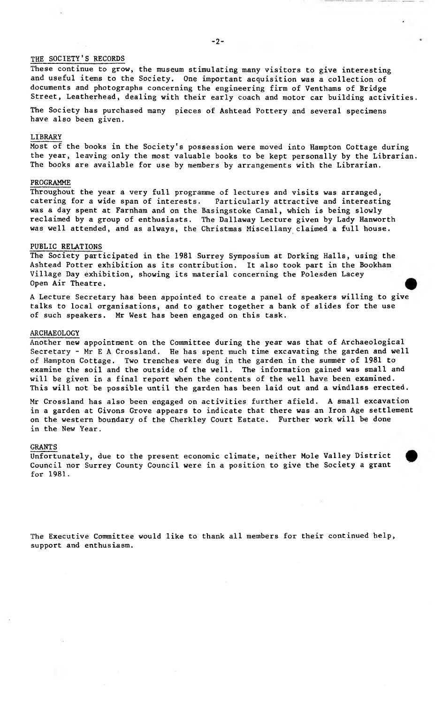#### THE SOCIETY'S RECORDS

These continue to grow, the museum stimulating many visitors to give interesting and useful items to the Society. One important acquisition was a collection of documents and photographs concerning the engineering firm of Venthams of Bridge Street, Leatherhead, dealing with their early coach and motor car building activities.

The Society has purchased many pieces of Ashtead Pottery and several specimens have also been given.

# LIBRARY

Most of the books in the Society's possession were moved into Hampton Cottage during the year, leaving only the most valuable books to be kept personally by the Librarian. The books are available for use by members by arrangements with the Librarian,

#### PROGRAMME

Throughout the year a very full programme of lectures and visits was arranged, catering for a wide span of interests. Particularly attractive and interesting was a day spent at Farnham and on the Basingstoke Canal, which is being slowly reclaimed by a group of enthusiasts. The Dallaway Lecture given by Lady Hanworth was well attended, and as always, the Christmas Miscellany claimed a full house.

#### PUBLIC RELATIONS

The Society participated in the 1981 Surrey Symposium at Dorking Halls, using the Ashtead Potter exhibition as its contribution. It also took part in the Bookham Village Day exhibition, showing its material concerning the Polesden Lacey Open Air Theatre,

A Lecture Secretary has been appointed to create a panel of speakers willing to give talks to local organisations, and to gather together a bank of slides for the use of such speakers. Mr West has been engaged on this task.

#### ARCHAEOLOGY

Another new appointment on the Committee during the year was that of Archaeological Secretary - Mr E A Crossland. He has spent much time excavating the garden and well of Hampton Cottage. Two trenches were dug in the garden in the summer of 1981 to examine the soil and the outside of the well. The information gained was small and will be given in a final report when the contents of the well have been examined. This will not be possible until the garden has been laid out and a windlass erected.

Mr Crossland has also been engaged on activities further afield. A small excavation in a garden at Givons Grove appears to indicate that there was an Iron Age settlement on the western boundary of the Cherkley Court Estate. Further work will be done in the New Year.

#### GRANTS

Unfortunately, due to the present economic climate, neither Mole Valley District Council nor Surrey County Council were in a position to give the Society a grant for 1981.

The Executive Committee would like to thank all members for their continued help, support and enthusiasm.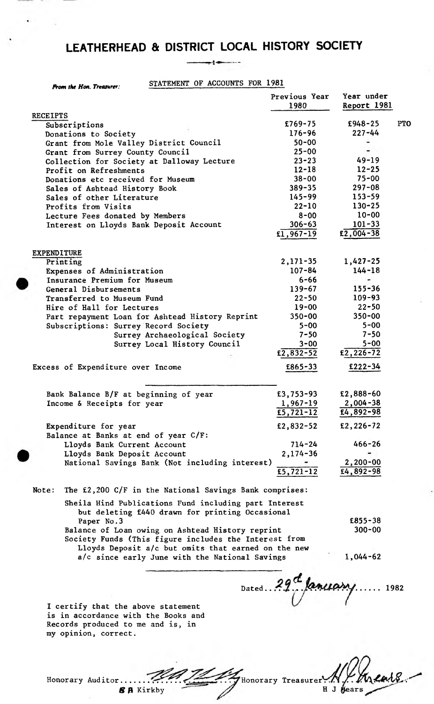# $\rightarrow$

----

|       | From the Hon. Treasurer:                                                                                                               | STATEMENT OF ACCOUNTS FOR 1981                                                                                                                                   |                                    |                              |            |
|-------|----------------------------------------------------------------------------------------------------------------------------------------|------------------------------------------------------------------------------------------------------------------------------------------------------------------|------------------------------------|------------------------------|------------|
|       |                                                                                                                                        |                                                                                                                                                                  | Previous Year<br>1980              | Year under<br>Report 1981    |            |
|       | <b>RECEIPTS</b>                                                                                                                        |                                                                                                                                                                  |                                    |                              |            |
|       | Subscriptions                                                                                                                          |                                                                                                                                                                  | $£769-75$                          | $£948 - 25$                  | <b>PTO</b> |
|       | Donations to Society                                                                                                                   |                                                                                                                                                                  | $176 - 96$                         | $227 - 44$                   |            |
|       | Grant from Mole Valley District Council                                                                                                |                                                                                                                                                                  | $50 - 00$                          |                              |            |
|       | Grant from Surrey County Council                                                                                                       |                                                                                                                                                                  | $25 - 00$                          |                              |            |
|       | Collection for Society at Dalloway Lecture                                                                                             |                                                                                                                                                                  | $23 - 23$                          | $49 - 19$                    |            |
|       | Profit on Refreshments                                                                                                                 |                                                                                                                                                                  | $12 - 18$                          | $12 - 25$                    |            |
|       | Donations etc received for Museum                                                                                                      |                                                                                                                                                                  | $38 - 00$                          | $75 - 00$                    |            |
|       | Sales of Ashtead History Book                                                                                                          |                                                                                                                                                                  | $389 - 35$                         | $297 - 08$                   |            |
|       | Sales of other Literature                                                                                                              |                                                                                                                                                                  | $145 - 99$                         | $153 - 59$                   |            |
|       | Profits from Visits                                                                                                                    |                                                                                                                                                                  | $22 - 10$                          | $130 - 25$                   |            |
|       | Lecture Fees donated by Members                                                                                                        |                                                                                                                                                                  | $8 - 00$                           | $10 - 00$                    |            |
|       | Interest on Lloyds Bank Deposit Account                                                                                                |                                                                                                                                                                  | $306 - 63$                         | $101 - 33$                   |            |
|       |                                                                                                                                        |                                                                                                                                                                  | $f1,967-19$                        | $E2,004-38$                  |            |
|       | <b>EXPENDITURE</b>                                                                                                                     |                                                                                                                                                                  |                                    |                              |            |
|       | Printing                                                                                                                               |                                                                                                                                                                  | $2,171-35$                         | $1,427-25$                   |            |
|       | Expenses of Administration                                                                                                             |                                                                                                                                                                  | $107 - 84$                         | $144 - 18$                   |            |
|       | Insurance Premium for Museum                                                                                                           |                                                                                                                                                                  | $6 - 66$                           |                              |            |
|       | General Disbursements                                                                                                                  |                                                                                                                                                                  | $139 - 67$                         | $155 - 36$                   |            |
|       | Transferred to Museum Fund                                                                                                             |                                                                                                                                                                  | $22 - 50$                          | $109 - 93$                   |            |
|       | Hire of Hall for Lectures                                                                                                              |                                                                                                                                                                  | 19-00                              | $22 - 50$                    |            |
|       |                                                                                                                                        | Part repayment Loan for Ashtead History Reprint                                                                                                                  | $350 - 00$                         | $350 - 00$                   |            |
|       | Subscriptions: Surrey Record Society                                                                                                   |                                                                                                                                                                  | $5 - 00$                           | $5 - 00$                     |            |
|       |                                                                                                                                        | Surrey Archaeological Society                                                                                                                                    | $7 - 50$                           | $7 - 50$                     |            |
|       |                                                                                                                                        | Surrey Local History Council                                                                                                                                     | $3 - 00$<br>$\sqrt{2,832-52}$      | $5 - 00$<br>$E2, 226 - 72$   |            |
|       | Excess of Expenditure over Income                                                                                                      |                                                                                                                                                                  | £865-33                            | $£222-34$                    |            |
|       | Bank Balance B/F at beginning of year                                                                                                  |                                                                                                                                                                  | £3,753-93                          | £2,888-60                    |            |
|       | Income & Receipts for year                                                                                                             |                                                                                                                                                                  | $1,967 - 19$                       | $2,004 - 38$                 |            |
|       |                                                                                                                                        |                                                                                                                                                                  | £5,721-12                          | $£4,892-98$                  |            |
|       | Expenditure for year                                                                                                                   |                                                                                                                                                                  | £2,832-52                          | $E2, 226 - 72$               |            |
|       | Balance at Banks at end of year C/F:                                                                                                   |                                                                                                                                                                  |                                    |                              |            |
|       | Lloyds Bank Current Account                                                                                                            |                                                                                                                                                                  | $714 - 24$                         | $466 - 26$                   |            |
|       | Lloyds Bank Deposit Account                                                                                                            |                                                                                                                                                                  | $2,174-36$                         |                              |            |
|       |                                                                                                                                        | National Savings Bank (Not including interest)                                                                                                                   | $\overline{5,721-12}$              | $2,200-00$<br>$E4, 892 - 98$ |            |
| Note: |                                                                                                                                        | The £2,200 C/F in the National Savings Bank comprises:                                                                                                           |                                    |                              |            |
|       |                                                                                                                                        |                                                                                                                                                                  |                                    |                              |            |
|       |                                                                                                                                        | Sheila Hind Publications Fund including part Interest<br>but deleting £440 drawn for printing Occasional                                                         |                                    |                              |            |
|       | Paper No.3                                                                                                                             |                                                                                                                                                                  |                                    | $E855 - 38$<br>$300 - 00$    |            |
|       |                                                                                                                                        | Balance of Loan owing on Ashtead History reprint<br>Society Funds (This figure includes the Interest from<br>Lloyds Deposit a/c but omits that earned on the new |                                    |                              |            |
|       | I certify that the above statement<br>is in accordance with the Books and<br>Records produced to me and is, in<br>my opinion, correct. | a/c since early June with the National Savings                                                                                                                   | Dated. $29^\text{a}$ fanceasy 1982 | $1,044-62$                   |            |

*SA* Kirkby

Honorary Auditor, 'Honorary Treasurer *ML\**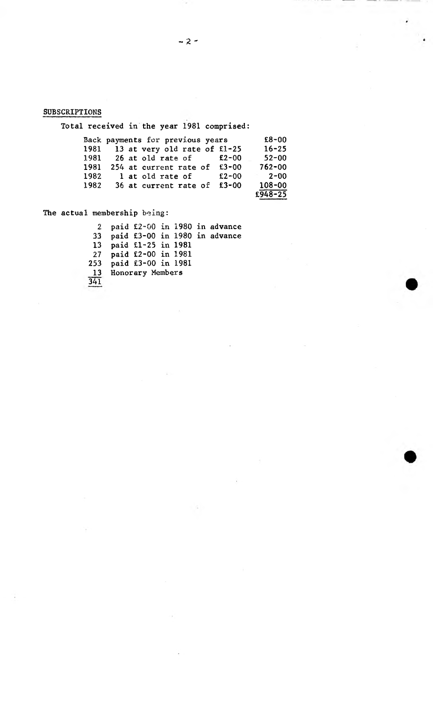# SUBSCRIPTIONS

Total received in the year 1981 comprised:

|      | Back payments for previous years |                  |  |                                   | $E8 - 00$            |  |
|------|----------------------------------|------------------|--|-----------------------------------|----------------------|--|
|      |                                  |                  |  | 1981 13 at very old rate of £1-25 | $16 - 25$            |  |
|      |                                  |                  |  | 1981 26 at old rate of $£2-00$    | $52 - 00$            |  |
| 1981 |                                  |                  |  | 254 at current rate of £3-00      | $762 - 00$           |  |
| 1982 |                                  | l at old rate of |  | $E2-00$                           | $2 - 00$             |  |
| 1982 |                                  |                  |  | 36 at current rate of £3-00       | $108 - 00$           |  |
|      |                                  |                  |  |                                   | $E\overline{948-25}$ |  |

The actual membership being:

2 paid £2-00 in 1980 in advance 33 paid £3-00 in 1980 in advance 13 paid £1-25 in 1981 27 paid £2-00 in 1981 253 paid £3-00 in 1981 13 Honorary Members 341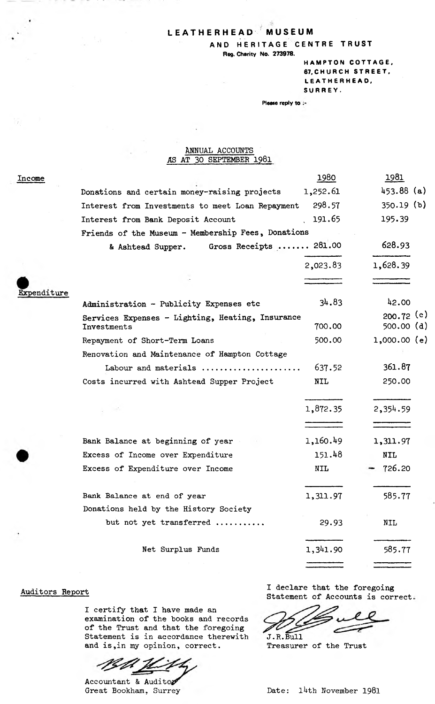# LEATHERHEAD MUSEUM

AND HERITAGE CENTRE TRUST

Reg. Charity No. 273978.

HAMPTON COTTAGE, 67, CHURCH STREET, LEATHERHEAO. SURREY.

Please reply to :-

# **ANNUAL ACCOUNTS AS AT 30 SEPTEMBER 1981**

| Income      |                                                                 | 1980       | <u> 1981 </u>             |  |
|-------------|-----------------------------------------------------------------|------------|---------------------------|--|
|             | Donations and certain money-raising projects                    | 1,252.61   | $453.88$ (a)              |  |
|             | Interest from Investments to meet Loan Repayment                | 298.57     | $350.19$ (b)              |  |
|             | Interest from Bank Deposit Account                              | 191.65     | 195.39                    |  |
|             | Friends of the Museum - Membership Fees, Donations              |            |                           |  |
|             | Gross Receipts  281.00<br>& Ashtead Supper.                     |            | 628.93                    |  |
|             |                                                                 | 2,023.83   | 1,628.39                  |  |
| Expenditure |                                                                 |            |                           |  |
|             | Administration - Publicity Expenses etc                         | 34.83      | 42.00                     |  |
|             | Services Expenses - Lighting, Heating, Insurance<br>Investments | 700.00     | $200.72$ (c)<br>500.00(d) |  |
|             | Repayment of Short-Term Loans                                   | 500.00     | $1,000.00$ (e)            |  |
|             | Renovation and Maintenance of Hampton Cottage                   |            |                           |  |
|             | Labour and materials                                            | 637.52     | 361.87                    |  |
|             | Costs incurred with Ashtead Supper Project                      | <b>NIL</b> | 250.00                    |  |
|             |                                                                 | 1,872.35   | 2,354.59                  |  |
|             | Bank Balance at beginning of year                               | 1,160.49   | 1,311.97                  |  |
|             | Excess of Income over Expenditure                               | 151.48     | <b>NIL</b>                |  |
|             | Excess of Expenditure over Income                               | <b>NIL</b> | 726.20                    |  |
|             | Bank Balance at end of year                                     | 1,311.97   | 585.77                    |  |
|             | Donations held by the History Society                           |            |                           |  |
|             | but not yet transferred                                         | 29.93      | <b>NIL</b>                |  |
|             | Net Surplus Funds                                               | 1,341.90   | 585.77                    |  |
|             |                                                                 |            |                           |  |

Auditors Report

I certify that I have made an examination of the books and records of the Trust and that the foregoing Statement is in accordance therewith and is,in my opinion, correct.

19th JL

Accountant & Auditor Great Bookham, Surrey

I declare that the foregoing Statement of Accounts is correct.

J.R.Bull

Treasurer of the Trust

Date: 14th November 1981